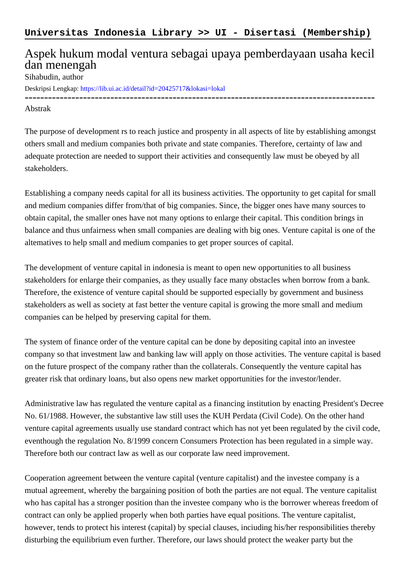## Aspek hukum modal ventura sebagai upaya pemberdayaan usaha kecil dan menengah

## Sihabudin, author

Deskripsi Lengkap:<https://lib.ui.ac.id/detail?id=20425717&lokasi=lokal>

------------------------------------------------------------------------------------------

## Abstrak

The purpose of development rs to reach justice and prospenty in all aspects of lite by establishing amongst others small and medium companies both private and state companies. Therefore, certainty of law and adequate protection are needed to support their activities and consequently law must be obeyed by all stakeholders.

Establishing a company needs capital for all its business activities. The opportunity to get capital for small and medium companies differ from/that of big companies. Since, the bigger ones have many sources to obtain capital, the smaller ones have not many options to enlarge their capital. This condition brings in balance and thus unfairness when small companies are dealing with big ones. Venture capital is one of the altematives to help small and medium companies to get proper sources of capital.

The development of venture capital in indonesia is meant to open new opportunities to all business stakeholders for enlarge their companies, as they usually face many obstacles when borrow from a bank. Therefore, the existence of venture capital should be supported especially by government and business stakeholders as well as society at fast better the venture capital is growing the more small and medium companies can be helped by preserving capital for them.

The system of finance order of the venture capital can be done by depositing capital into an investee company so that investment law and banking law will apply on those activities. The venture capital is based on the future prospect of the company rather than the collaterals. Consequently the venture capital has greater risk that ordinary loans, but also opens new market opportunities for the investor/lender.

Administrative law has regulated the venture capital as a financing institution by enacting President's Decree No. 61/1988. However, the substantive law still uses the KUH Perdata (Civil Code). On the other hand venture capital agreements usually use standard contract which has not yet been regulated by the civil code, eventhough the regulation No. 8/1999 concern Consumers Protection has been regulated in a simple way. Therefore both our contract law as well as our corporate law need improvement.

Cooperation agreement between the venture capital (venture capitalist) and the investee company is a mutual agreement, whereby the bargaining position of both the parties are not equal. The venture capitalist who has capital has a stronger position than the investee company who is the borrower whereas freedom of contract can only be applied properly when both parties have equal positions. The venture capitalist, however, tends to protect his interest (capital) by special clauses, inciuding his/her responsibilities thereby disturbing the equilibrium even further. Therefore, our laws should protect the weaker party but the